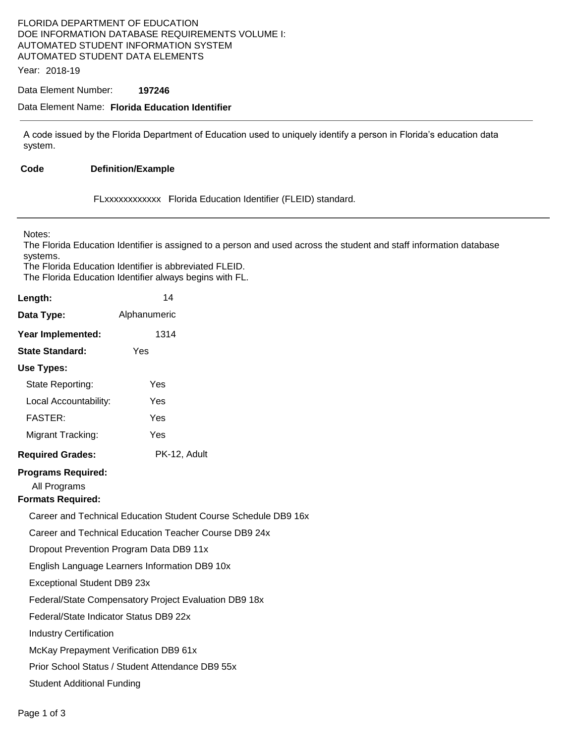# FLORIDA DEPARTMENT OF EDUCATION DOE INFORMATION DATABASE REQUIREMENTS VOLUME I: AUTOMATED STUDENT INFORMATION SYSTEM AUTOMATED STUDENT DATA ELEMENTS

Year: 2018-19

#### Data Element Number: **197246**

#### Data Element Name: **Florida Education Identifier**

A code issued by the Florida Department of Education used to uniquely identify a person in Florida's education data system.

#### Code **Code Definition/Example**

FLxxxxxxxxxxxx lFlorida Education Identifier (FLEID) standard.

Notes:

The Florida Education Identifier is assigned to a person and used across the student and staff information database systems.

The Florida Education Identifier is abbreviated FLEID. The Florida Education Identifier always begins with FL.

| Length:                                                               | 14                                                             |  |
|-----------------------------------------------------------------------|----------------------------------------------------------------|--|
| Data Type:                                                            | Alphanumeric                                                   |  |
| Year Implemented:                                                     | 1314                                                           |  |
| <b>State Standard:</b>                                                | Yes                                                            |  |
| Use Types:                                                            |                                                                |  |
| State Reporting:                                                      | Yes                                                            |  |
| Local Accountability:                                                 | Yes                                                            |  |
| <b>FASTER:</b>                                                        | Yes                                                            |  |
| Migrant Tracking:                                                     | Yes                                                            |  |
| <b>Required Grades:</b>                                               | PK-12, Adult                                                   |  |
| <b>Programs Required:</b><br>All Programs<br><b>Formats Required:</b> |                                                                |  |
|                                                                       | Career and Technical Education Student Course Schedule DB9 16x |  |
|                                                                       | Career and Technical Education Teacher Course DB9 24x          |  |
|                                                                       | Dropout Prevention Program Data DB9 11x                        |  |
|                                                                       | English Language Learners Information DB9 10x                  |  |
| Exceptional Student DB9 23x                                           |                                                                |  |
|                                                                       | Federal/State Compensatory Project Evaluation DB9 18x          |  |
| Federal/State Indicator Status DB9 22x                                |                                                                |  |
| <b>Industry Certification</b>                                         |                                                                |  |
| McKay Prepayment Verification DB9 61x                                 |                                                                |  |
|                                                                       | Prior School Status / Student Attendance DB9 55x               |  |
| <b>Student Additional Funding</b>                                     |                                                                |  |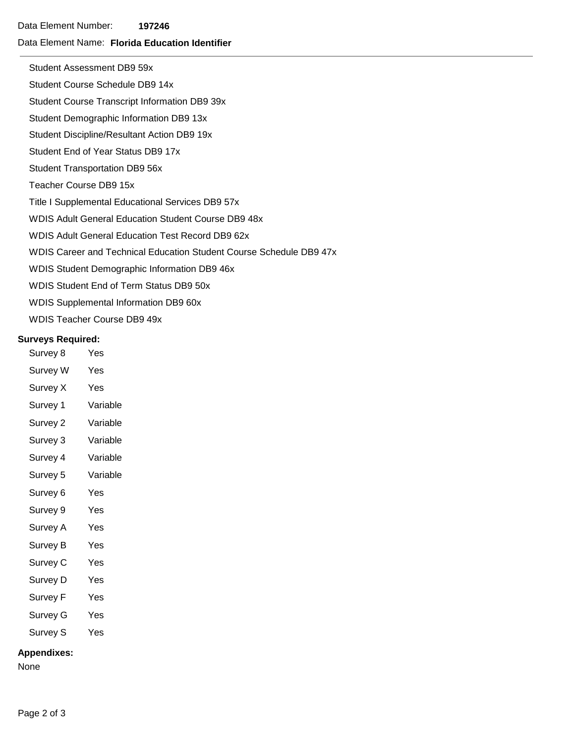Data Element Number: **197246** 

### Data Element Name: **Florida Education Identifier**

Student Assessment DB9 59x

Student Course Schedule DB9 14x

Student Course Transcript Information DB9 39x

Student Demographic Information DB9 13x

Student Discipline/Resultant Action DB9 19x

- Student End of Year Status DB9 17x
- Student Transportation DB9 56x
- Teacher Course DB9 15x

Title I Supplemental Educational Services DB9 57x

WDIS Adult General Education Student Course DB9 48x

- WDIS Adult General Education Test Record DB9 62x
- WDIS Career and Technical Education Student Course Schedule DB9 47x
- WDIS Student Demographic Information DB9 46x
- WDIS Student End of Term Status DB9 50x
- WDIS Supplemental Information DB9 60x
- WDIS Teacher Course DB9 49x

### **Surveys Required:**

- Survey 8 Yes Survey W Yes Survey X Yes
- Survey 1 Variable
- Survey 2 Variable
- Survey 3 Variable
- Survey 4 Variable
- Survey 5 Variable
- Survey 6 Yes
- Survey 9 Yes
- Survey A Yes
- Survey B Yes
- Survey C Yes
- Survey D Yes
- Survey F Yes
- Survey G Yes
- Survey S Yes

## **Appendixes:**

None